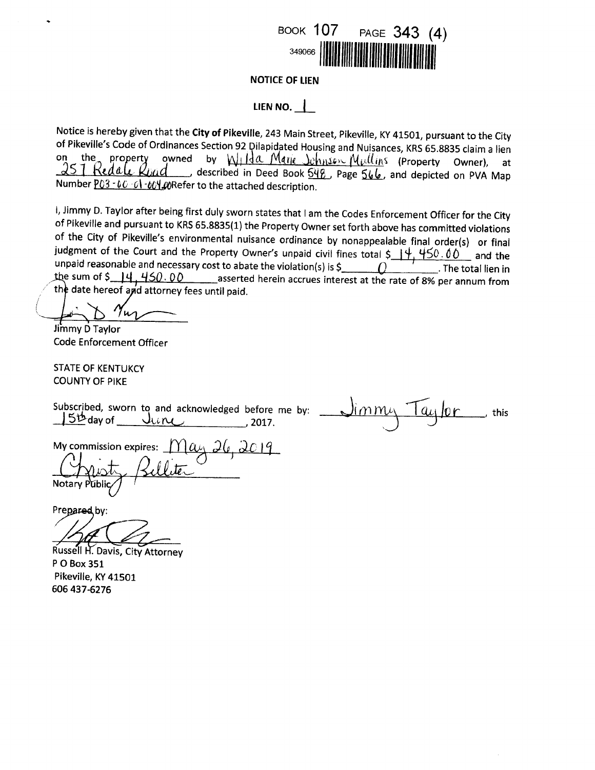

**NOTICE OF LIEN** 

## LIEN NO.  $\vert$

Notice is hereby given that the City of Pikeville, 243 Main Street, Pikeville, KY 41501, pursuant to the City of Pikeville's Code of Ordinances Section 92 Dilapidated Housing and Nuisances, KRS 65.8835 claim a lien by Wilda Marie Johnson Mullins (Property Owner), at on the property owned 257 Redale odescribed in Deed Book 548, Page 566, and depicted on PVA Map hnd Number P03 - 00 - 01 - 004 00 Refer to the attached description.

I, Jimmy D. Taylor after being first duly sworn states that I am the Codes Enforcement Officer for the City of Pikeville and pursuant to KRS 65.8835(1) the Property Owner set forth above has committed violations of the City of Pikeville's environmental nuisance ordinance by nonappealable final order(s) or final judgment of the Court and the Property Owner's unpaid civil fines total  $\frac{44.450.00}{4.00}$  and the unpaid reasonable and necessary cost to abate the violation(s) is  $\zeta$ . The total lien in the sum of  $\frac{14}{14.450.00}$  asserted herein accrues interest at the rate of 8% per annum from the date hereof and attorney fees until paid.

Jimmy D Taylor **Code Enforcement Officer** 

**STATE OF KENTUKCY COUNTY OF PIKE** 

Subscribed, sworn to and acknowledged before me by: li $m$ m $\iota$ this  $5<sup>th</sup>$  day of June , 2017.

<u>1ay 26, 2019</u> My commission expires: Notary Public

Prepared by:

Russell H. Davis, City Attorney P O Box 351 Pikeville, KY 41501 606 437-6276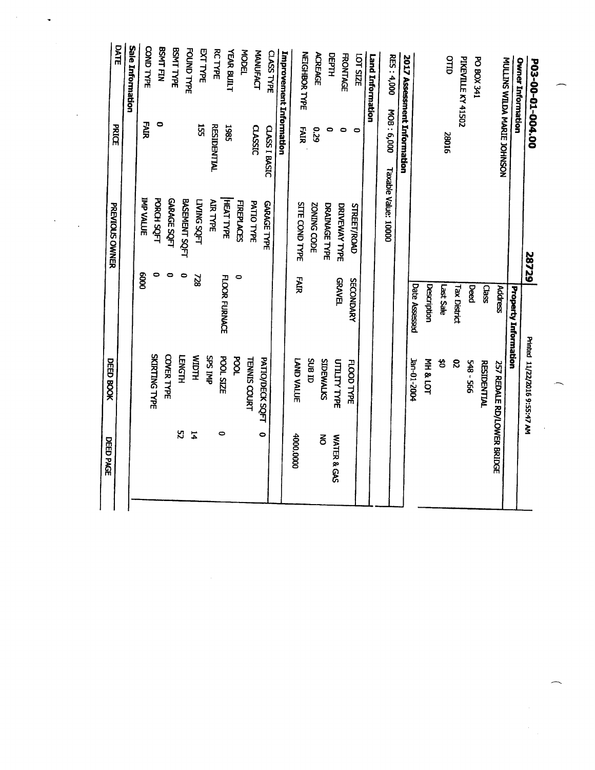|                                       |                                                                                                                                | Printed 11/22/2016 9:55:47 AM                        |                                                                                                                                                |
|---------------------------------------|--------------------------------------------------------------------------------------------------------------------------------|------------------------------------------------------|------------------------------------------------------------------------------------------------------------------------------------------------|
|                                       |                                                                                                                                |                                                      |                                                                                                                                                |
|                                       | <b>Address</b>                                                                                                                 |                                                      |                                                                                                                                                |
|                                       | Class                                                                                                                          | <b>RESIDENTIAL</b>                                   |                                                                                                                                                |
|                                       | Deed                                                                                                                           | 548 - 566                                            |                                                                                                                                                |
|                                       | Tax District                                                                                                                   | $\boldsymbol{\mathcal{S}}$                           |                                                                                                                                                |
|                                       | Last Sale                                                                                                                      | 3                                                    |                                                                                                                                                |
|                                       | Description                                                                                                                    | <b>MH &amp; LOT</b>                                  |                                                                                                                                                |
|                                       |                                                                                                                                |                                                      |                                                                                                                                                |
|                                       |                                                                                                                                |                                                      |                                                                                                                                                |
| Taxable Value: 10000                  |                                                                                                                                |                                                      |                                                                                                                                                |
|                                       |                                                                                                                                |                                                      |                                                                                                                                                |
|                                       |                                                                                                                                |                                                      |                                                                                                                                                |
|                                       |                                                                                                                                |                                                      |                                                                                                                                                |
|                                       |                                                                                                                                |                                                      | WATER & GAS                                                                                                                                    |
|                                       |                                                                                                                                |                                                      | š                                                                                                                                              |
|                                       |                                                                                                                                |                                                      |                                                                                                                                                |
| <b>SITE COND TYPE</b>                 | FAIR                                                                                                                           | <b>SUB ID</b><br>LAND VALUE                          | 4000.0000                                                                                                                                      |
|                                       |                                                                                                                                |                                                      |                                                                                                                                                |
| CLASS I BASIC<br><b>GARAGE TYPE</b>   |                                                                                                                                |                                                      |                                                                                                                                                |
| PATIO TYPE                            |                                                                                                                                | PATIO/DECK SQFT                                      | $\bullet$                                                                                                                                      |
| <b>FIREPLACES</b>                     | $\circ$                                                                                                                        | <b>TENNIS COURT</b>                                  |                                                                                                                                                |
| HEAT TYPE                             |                                                                                                                                | <b>POOL</b>                                          |                                                                                                                                                |
| <b>RESIDENTIAL</b><br><b>AIR TYPE</b> | FLOOR FURNACE                                                                                                                  | <b>POOL SIZE</b>                                     | $\bullet$                                                                                                                                      |
| <b>LING SOFT</b>                      | 228                                                                                                                            | dNI SdS                                              |                                                                                                                                                |
| BASEMENT SQFT                         | $\circ$                                                                                                                        | <b>HLCIIM</b>                                        | $\sharp$                                                                                                                                       |
| <b>GARAGE SQFT</b>                    | $\bullet$                                                                                                                      | <b>LENGTH</b>                                        | 52                                                                                                                                             |
|                                       | $\bullet$                                                                                                                      | COVER TYPE                                           |                                                                                                                                                |
| <b>PORCH SQFT</b>                     |                                                                                                                                | <b>SKIRTING TYPE</b>                                 |                                                                                                                                                |
| <b>IMP VALLUE</b>                     | 8000                                                                                                                           |                                                      |                                                                                                                                                |
|                                       | 2017 Assessment Information<br><b>NOSNHOL SNAM AGLE JOHNSON</b><br><b>DRAINAGE TYPE</b><br>DRIVEWAY TYPE<br><b>STREET/ROAD</b> | 28729<br><b>GRAVEL</b><br>SECONDARY<br>Date Assessed | ZONING CODE<br>Property Information<br>SIDEWALKS<br><b>1202-2004</b><br><b>UTILITY TYPE</b><br>FLOOD TYPE<br><b>257 REDALE RD/LOWER BRIDGE</b> |

 $\label{eq:2.1} \frac{1}{\sqrt{2}}\int_{\mathbb{R}^3}\frac{1}{\sqrt{2}}\left(\frac{1}{\sqrt{2}}\right)^2\frac{1}{\sqrt{2}}\left(\frac{1}{\sqrt{2}}\right)^2\frac{1}{\sqrt{2}}\left(\frac{1}{\sqrt{2}}\right)^2.$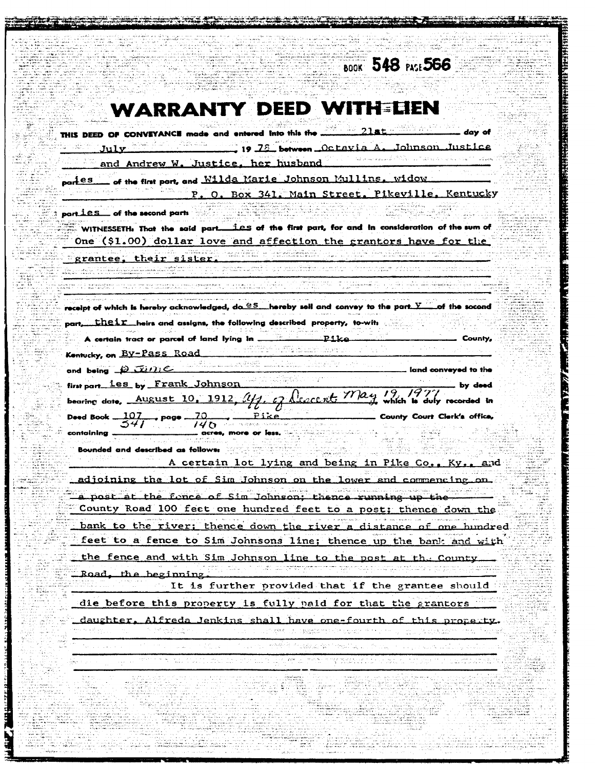| <b>BDOK 548 PACE 566</b>                                                                                                                                                             |
|--------------------------------------------------------------------------------------------------------------------------------------------------------------------------------------|
|                                                                                                                                                                                      |
| <b>WARRANTY DEED WITH EIEN</b>                                                                                                                                                       |
| THIS DEED OF CONVEYANCE made and entered into this the 21st<br>dav of                                                                                                                |
| , 19 78 between Octavia A. Johnson Justice<br>July                                                                                                                                   |
| and Andrew W. Justice, her husband                                                                                                                                                   |
| of the fint port, and Wilda Marie Johnson Mullins. widow<br>partes                                                                                                                   |
| P. O. Box 341. Main Street. Pikeville. Kentucky                                                                                                                                      |
| part ies of the second parts                                                                                                                                                         |
| WITNESSETH: That the said part. Les of the first part, for and in consideration of the sum of                                                                                        |
| One (\$1.00) dollar love and affection the grantors have for the                                                                                                                     |
| grantee. their sister.                                                                                                                                                               |
|                                                                                                                                                                                      |
| receipt of which is hereby acknowledged, do SS __ hereby sell and convey to the part V ____ of the socond                                                                            |
| part, their heirs and assigns, the following described property, to-wits                                                                                                             |
| A certain tract or parcel of land lying in .<br>معلك كسب<br>County,                                                                                                                  |
| Kentucky, on By-Pass Road                                                                                                                                                            |
| and being $\Box$ $\Box$ $\Box$<br>$\_$ land conveyed to the                                                                                                                          |
| first part_les_by Frank_Johnson<br>by deed                                                                                                                                           |
| bearing date, August 10, 1912, My, of Leacent, May 19, 1977<br>County Court Clerk's office,<br>Deed Book $\frac{107}{541}$ , page $\frac{70}{140}$ , $\frac{pize}{\frac{156e}{140}}$ |
| _ acres, more or less.<br>containin <b>a</b> .                                                                                                                                       |
| Bounded and described as follows:<br><b>Kv.</b><br>and                                                                                                                               |
| A certain lot lying and being in Pike Co.,<br>adjoining the lot of Sim Johnson on the lower and commancing on.                                                                       |
| a post at the fonce of Sim Johnson, thence running up the                                                                                                                            |
| County Road 100 feet one hundred feet to a post; thence down the                                                                                                                     |
| bank to the river; thence down the river a distance of one hundred                                                                                                                   |
| feet to a fence to Sim Johnsons line; thence up the bank and with                                                                                                                    |
| the fence and with Sim Johnson line to the post at the County.                                                                                                                       |
| Road, the beginning.                                                                                                                                                                 |
| It is further provided that if the grantee should                                                                                                                                    |
| die before this property is fully paid for that the grantors                                                                                                                         |
| daughter, Alfreda Jenkins shall have one-fourth of this property.                                                                                                                    |
| rining of the special special component of the component of the component of the component of the component of                                                                       |
|                                                                                                                                                                                      |
|                                                                                                                                                                                      |
|                                                                                                                                                                                      |
|                                                                                                                                                                                      |
|                                                                                                                                                                                      |

**THE REPORT OF A PARTIES OF A PARTIES OF A PARTIES OF A PARTIES OF A PARTIES OF A PARTIES OF A PARTIES OF A PARTIES OF A PARTIES OF A PARTIES OF A PARTIES OF A PARTIES OF A PARTIES OF A PARTIES OF A PARTIES OF A PARTIES OF** 

**TABLE PRODUCT** 

فتعطشتهم

ensker ingenedere byggenete en de energ

**The Second Property** 

**THE YEAR ARTS**